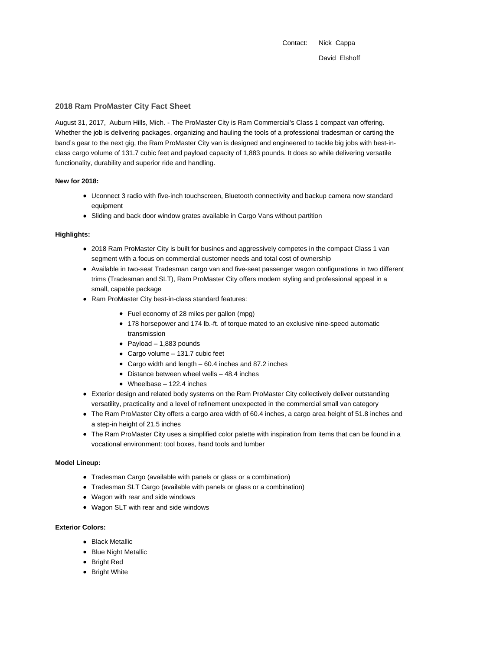Contact: Nick Cappa David Elshoff

## **2018 Ram ProMaster City Fact Sheet**

August 31, 2017, Auburn Hills, Mich. - The ProMaster City is Ram Commercial's Class 1 compact van offering. Whether the job is delivering packages, organizing and hauling the tools of a professional tradesman or carting the band's gear to the next gig, the Ram ProMaster City van is designed and engineered to tackle big jobs with best-inclass cargo volume of 131.7 cubic feet and payload capacity of 1,883 pounds. It does so while delivering versatile functionality, durability and superior ride and handling.

## **New for 2018:**

- Uconnect 3 radio with five-inch touchscreen, Bluetooth connectivity and backup camera now standard equipment
- Sliding and back door window grates available in Cargo Vans without partition

### **Highlights:**

- 2018 Ram ProMaster City is built for busines and aggressively competes in the compact Class 1 van segment with a focus on commercial customer needs and total cost of ownership
- Available in two-seat Tradesman cargo van and five-seat passenger wagon configurations in two different trims (Tradesman and SLT), Ram ProMaster City offers modern styling and professional appeal in a small, capable package
- Ram ProMaster City best-in-class standard features:
	- Fuel economy of 28 miles per gallon (mpg)
	- 178 horsepower and 174 lb.-ft. of torque mated to an exclusive nine-speed automatic transmission
	- Payload  $-1,883$  pounds
	- Cargo volume 131.7 cubic feet
	- Cargo width and length 60.4 inches and 87.2 inches
	- $\bullet$  Distance between wheel wells  $-48.4$  inches
	- Wheelbase 122.4 inches
- Exterior design and related body systems on the Ram ProMaster City collectively deliver outstanding versatility, practicality and a level of refinement unexpected in the commercial small van category
- The Ram ProMaster City offers a cargo area width of 60.4 inches, a cargo area height of 51.8 inches and a step-in height of 21.5 inches
- The Ram ProMaster City uses a simplified color palette with inspiration from items that can be found in a vocational environment: tool boxes, hand tools and lumber

#### **Model Lineup:**

- Tradesman Cargo (available with panels or glass or a combination)
- Tradesman SLT Cargo (available with panels or glass or a combination)
- Wagon with rear and side windows
- Wagon SLT with rear and side windows

## **Exterior Colors:**

- Black Metallic
- Blue Night Metallic
- Bright Red
- Bright White